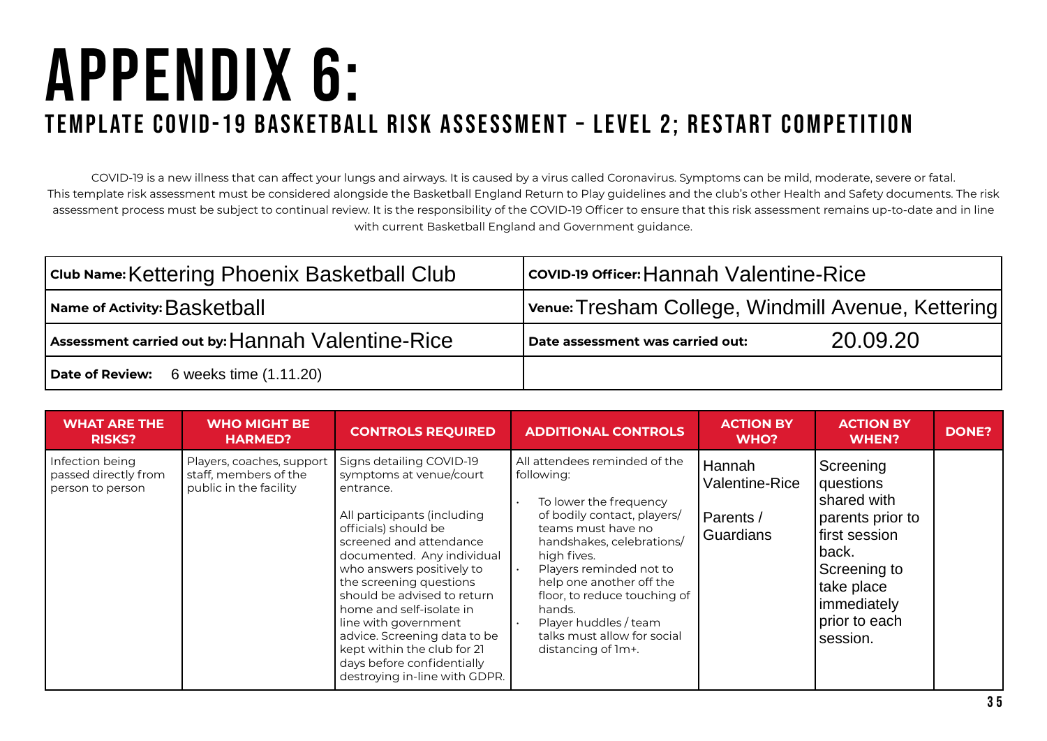## appendix 6: Template COVID-19 Basketball Risk Assessment – Level 2; restart competition

COVID-19 is a new illness that can affect your lungs and airways. It is caused by a virus called Coronavirus. Symptoms can be mild, moderate, severe or fatal. This template risk assessment must be considered alongside the Basketball England Return to Play guidelines and the club's other Health and Safety documents. The risk assessment process must be subject to continual review. It is the responsibility of the COVID-19 Officer to ensure that this risk assessment remains up-to-date and in line with current Basketball England and Government guidance.

| Club Name: Kettering Phoenix Basketball Club                           | covip-19 officer: Hannah Valentine-Rice            |  |  |  |
|------------------------------------------------------------------------|----------------------------------------------------|--|--|--|
| $\mid$ Name of Activity: $\sf{Baskethall} \mid$                        | Venue: Tresham College, Windmill Avenue, Kettering |  |  |  |
| Assessment carried out by: ${\sf Hamah}$ ${\sf Valentine\text{-}Rice}$ | 20.09.20<br>Date assessment was carried out:       |  |  |  |
| Date of Review: 6 weeks time (1.11.20)                                 |                                                    |  |  |  |

| <b>WHAT ARE THE</b><br><b>RISKS?</b>                        | <b>WHO MIGHT BE</b><br><b>HARMED?</b>                                        | <b>CONTROLS REQUIRED</b>                                                                                                                                                                                                                                                                                                                                                                                                                                  | <b>ADDITIONAL CONTROLS</b>                                                                                                                                                                                                                                                                                                                            | <b>ACTION BY</b><br>WHO?                                  | <b>ACTION BY</b><br><b>WHEN?</b>                                                                                                                                | <b>DONE?</b> |
|-------------------------------------------------------------|------------------------------------------------------------------------------|-----------------------------------------------------------------------------------------------------------------------------------------------------------------------------------------------------------------------------------------------------------------------------------------------------------------------------------------------------------------------------------------------------------------------------------------------------------|-------------------------------------------------------------------------------------------------------------------------------------------------------------------------------------------------------------------------------------------------------------------------------------------------------------------------------------------------------|-----------------------------------------------------------|-----------------------------------------------------------------------------------------------------------------------------------------------------------------|--------------|
| Infection being<br>passed directly from<br>person to person | Players, coaches, support<br>staff, members of the<br>public in the facility | Signs detailing COVID-19<br>symptoms at venue/court<br>entrance.<br>All participants (including<br>officials) should be<br>screened and attendance<br>documented. Any individual<br>who answers positively to<br>the screening questions<br>should be advised to return<br>home and self-isolate in<br>line with government<br>advice. Screening data to be<br>kept within the club for 21<br>days before confidentially<br>destroying in-line with GDPR. | All attendees reminded of the<br>following:<br>To lower the frequency<br>of bodily contact, players/<br>teams must have no<br>handshakes, celebrations/<br>high fives.<br>Players reminded not to<br>help one another off the<br>floor, to reduce touching of<br>hands.<br>Player huddles / team<br>talks must allow for social<br>distancing of 1m+. | Hannah<br><b>Valentine-Rice</b><br>Parents /<br>Guardians | Screening<br>questions<br>shared with<br>parents prior to<br>  first session<br>back.<br>Screening to<br>take place<br>immediately<br>prior to each<br>session. |              |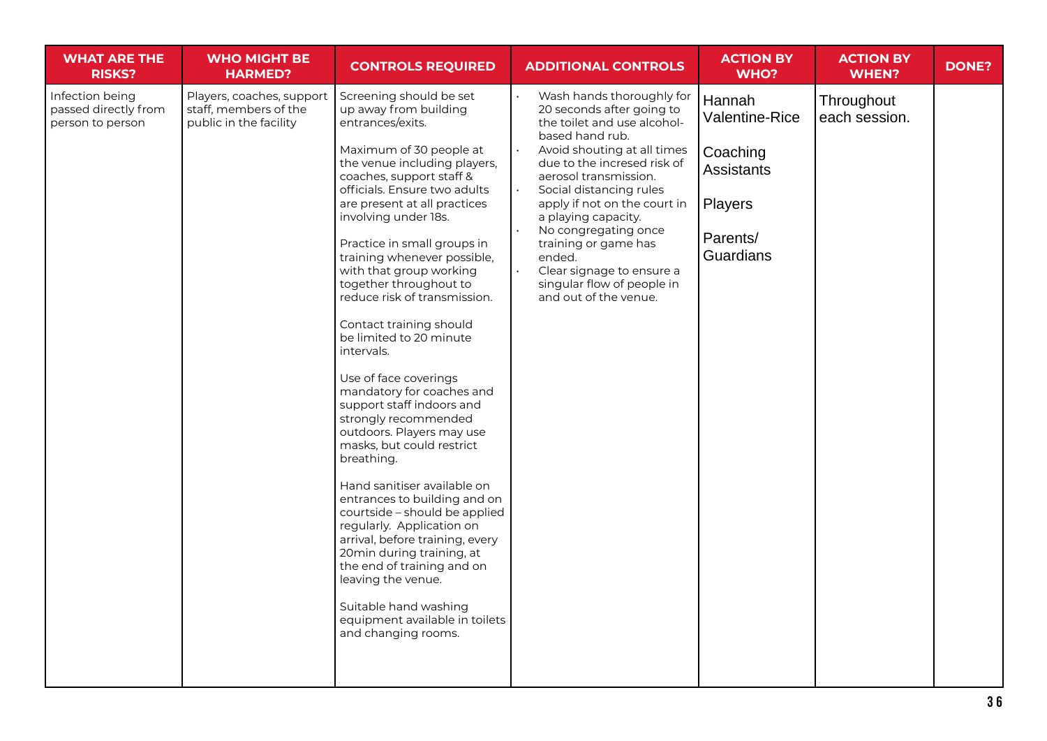| <b>WHAT ARE THE</b><br><b>RISKS?</b>                        | <b>WHO MIGHT BE</b><br><b>HARMED?</b>                                                                                                           | <b>CONTROLS REQUIRED</b>                                                                                                                                                                                                                      | <b>ADDITIONAL CONTROLS</b>                                                                                     | <b>ACTION BY</b><br><b>WHO?</b> | <b>ACTION BY</b><br><b>WHEN?</b> | <b>DONE?</b> |
|-------------------------------------------------------------|-------------------------------------------------------------------------------------------------------------------------------------------------|-----------------------------------------------------------------------------------------------------------------------------------------------------------------------------------------------------------------------------------------------|----------------------------------------------------------------------------------------------------------------|---------------------------------|----------------------------------|--------------|
| Infection being<br>passed directly from<br>person to person | Players, coaches, support<br>staff, members of the<br>public in the facility                                                                    | Screening should be set<br>up away from building<br>entrances/exits.                                                                                                                                                                          | Wash hands thoroughly for<br>20 seconds after going to<br>the toilet and use alcohol-<br>based hand rub.       | Hannah<br>Valentine-Rice        | Throughout<br>each session.      |              |
|                                                             |                                                                                                                                                 | Maximum of 30 people at<br>the venue including players,<br>coaches, support staff &<br>officials. Ensure two adults                                                                                                                           | Avoid shouting at all times<br>due to the incresed risk of<br>aerosol transmission.<br>Social distancing rules | Coaching<br><b>Assistants</b>   |                                  |              |
|                                                             |                                                                                                                                                 | are present at all practices<br>involving under 18s.                                                                                                                                                                                          | apply if not on the court in<br>a playing capacity.                                                            | Players                         |                                  |              |
|                                                             | Practice in small groups in<br>training whenever possible,<br>with that group working<br>together throughout to<br>reduce risk of transmission. | No congregating once<br>training or game has<br>ended.<br>Clear signage to ensure a<br>singular flow of people in<br>and out of the venue.                                                                                                    | Parents/<br>Guardians                                                                                          |                                 |                                  |              |
|                                                             |                                                                                                                                                 | Contact training should<br>be limited to 20 minute<br>intervals.                                                                                                                                                                              |                                                                                                                |                                 |                                  |              |
|                                                             |                                                                                                                                                 | Use of face coverings<br>mandatory for coaches and<br>support staff indoors and<br>strongly recommended<br>outdoors. Players may use<br>masks, but could restrict<br>breathing.                                                               |                                                                                                                |                                 |                                  |              |
|                                                             |                                                                                                                                                 | Hand sanitiser available on<br>entrances to building and on<br>courtside - should be applied<br>regularly. Application on<br>arrival, before training, every<br>20min during training, at<br>the end of training and on<br>leaving the venue. |                                                                                                                |                                 |                                  |              |
|                                                             |                                                                                                                                                 | Suitable hand washing<br>equipment available in toilets<br>and changing rooms.                                                                                                                                                                |                                                                                                                |                                 |                                  |              |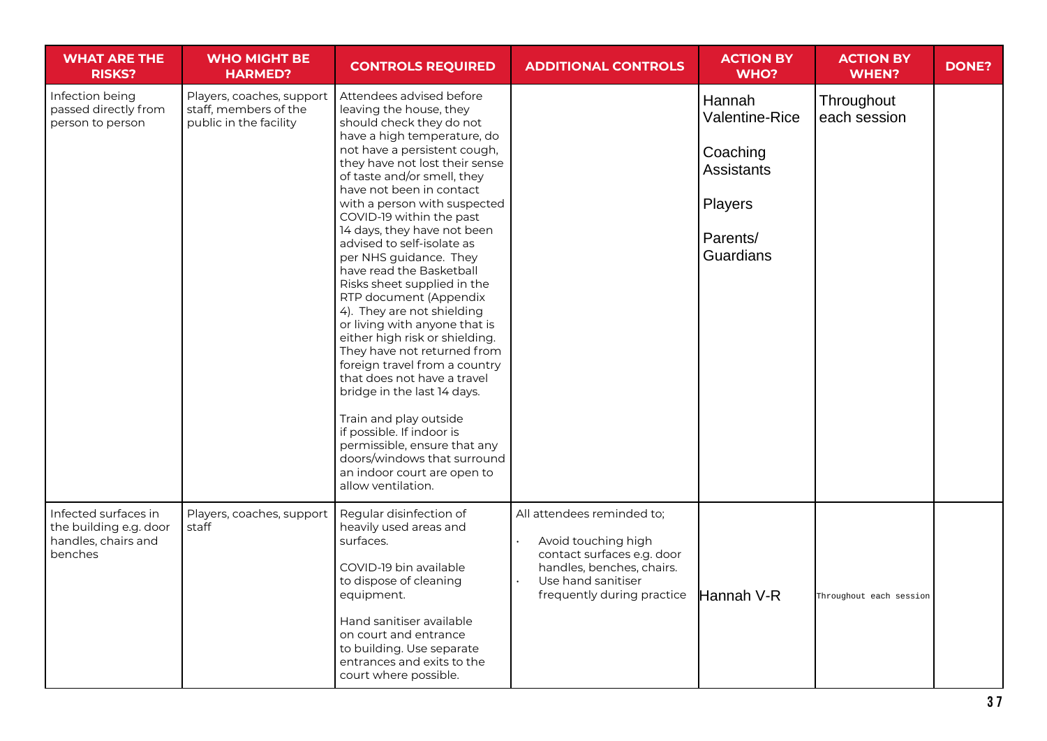| <b>WHAT ARE THE</b><br><b>RISKS?</b>                                             | <b>WHO MIGHT BE</b><br><b>HARMED?</b>                                        | <b>CONTROLS REQUIRED</b>                                                                                                                                                                                                                                                                                                                                                                                                                                                                                                                                                                                                                                                                                                                                                                                                                                                                      | <b>ADDITIONAL CONTROLS</b>                                                                                                                                       | <b>ACTION BY</b><br>WHO?                                                                                    | <b>ACTION BY</b><br><b>WHEN?</b> | <b>DONE?</b> |
|----------------------------------------------------------------------------------|------------------------------------------------------------------------------|-----------------------------------------------------------------------------------------------------------------------------------------------------------------------------------------------------------------------------------------------------------------------------------------------------------------------------------------------------------------------------------------------------------------------------------------------------------------------------------------------------------------------------------------------------------------------------------------------------------------------------------------------------------------------------------------------------------------------------------------------------------------------------------------------------------------------------------------------------------------------------------------------|------------------------------------------------------------------------------------------------------------------------------------------------------------------|-------------------------------------------------------------------------------------------------------------|----------------------------------|--------------|
| Infection being<br>passed directly from<br>person to person                      | Players, coaches, support<br>staff, members of the<br>public in the facility | Attendees advised before<br>leaving the house, they<br>should check they do not<br>have a high temperature, do<br>not have a persistent cough,<br>they have not lost their sense<br>of taste and/or smell, they<br>have not been in contact<br>with a person with suspected<br>COVID-19 within the past<br>14 days, they have not been<br>advised to self-isolate as<br>per NHS guidance. They<br>have read the Basketball<br>Risks sheet supplied in the<br>RTP document (Appendix<br>4). They are not shielding<br>or living with anyone that is<br>either high risk or shielding.<br>They have not returned from<br>foreign travel from a country<br>that does not have a travel<br>bridge in the last 14 days.<br>Train and play outside<br>if possible. If indoor is<br>permissible, ensure that any<br>doors/windows that surround<br>an indoor court are open to<br>allow ventilation. |                                                                                                                                                                  | Hannah<br><b>Valentine-Rice</b><br>Coaching<br><b>Assistants</b><br>Players<br>Parents/<br><b>Guardians</b> | Throughout<br>each session       |              |
| Infected surfaces in<br>the building e.g. door<br>handles, chairs and<br>benches | Players, coaches, support<br>staff                                           | Regular disinfection of<br>heavily used areas and<br>surfaces.<br>COVID-19 bin available<br>to dispose of cleaning<br>equipment.<br>Hand sanitiser available<br>on court and entrance<br>to building. Use separate<br>entrances and exits to the<br>court where possible.                                                                                                                                                                                                                                                                                                                                                                                                                                                                                                                                                                                                                     | All attendees reminded to;<br>Avoid touching high<br>contact surfaces e.g. door<br>handles, benches, chairs.<br>Use hand sanitiser<br>frequently during practice | Hannah V-R                                                                                                  | Throughout each session          |              |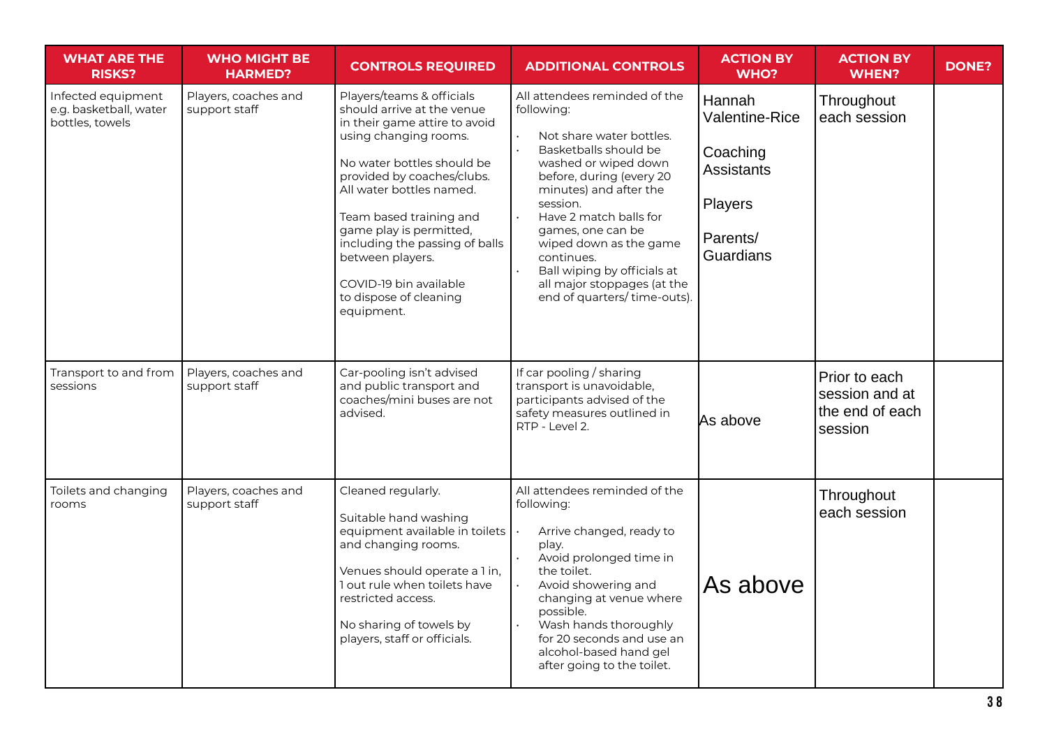| <b>WHAT ARE THE</b><br><b>RISKS?</b>                            | <b>WHO MIGHT BE</b><br><b>HARMED?</b> | <b>CONTROLS REQUIRED</b>                                                                                                                                                                                                                                                                                                                                                                | <b>ADDITIONAL CONTROLS</b>                                                                                                                                                                                                                                                                                                                                                     | <b>ACTION BY</b><br><b>WHO?</b>                                                               | <b>ACTION BY</b><br><b>WHEN?</b>                              | <b>DONE?</b> |
|-----------------------------------------------------------------|---------------------------------------|-----------------------------------------------------------------------------------------------------------------------------------------------------------------------------------------------------------------------------------------------------------------------------------------------------------------------------------------------------------------------------------------|--------------------------------------------------------------------------------------------------------------------------------------------------------------------------------------------------------------------------------------------------------------------------------------------------------------------------------------------------------------------------------|-----------------------------------------------------------------------------------------------|---------------------------------------------------------------|--------------|
| Infected equipment<br>e.g. basketball, water<br>bottles, towels | Players, coaches and<br>support staff | Players/teams & officials<br>should arrive at the venue<br>in their game attire to avoid<br>using changing rooms.<br>No water bottles should be<br>provided by coaches/clubs.<br>All water bottles named.<br>Team based training and<br>game play is permitted,<br>including the passing of balls<br>between players.<br>COVID-19 bin available<br>to dispose of cleaning<br>equipment. | All attendees reminded of the<br>following:<br>Not share water bottles.<br>Basketballs should be<br>washed or wiped down<br>before, during (every 20<br>minutes) and after the<br>session.<br>Have 2 match balls for<br>games, one can be<br>wiped down as the game<br>continues.<br>Ball wiping by officials at<br>all major stoppages (at the<br>end of quarters/time-outs). | Hannah<br>Valentine-Rice<br>Coaching<br><b>Assistants</b><br>Players<br>Parents/<br>Guardians | Throughout<br>each session                                    |              |
| Transport to and from<br>sessions                               | Players, coaches and<br>support staff | Car-pooling isn't advised<br>and public transport and<br>coaches/mini buses are not<br>advised.                                                                                                                                                                                                                                                                                         | If car pooling / sharing<br>transport is unavoidable,<br>participants advised of the<br>safety measures outlined in<br>RTP - Level 2.                                                                                                                                                                                                                                          | As above                                                                                      | Prior to each<br>session and at<br>the end of each<br>session |              |
| Toilets and changing<br>rooms                                   | Players, coaches and<br>support staff | Cleaned regularly.<br>Suitable hand washing<br>equipment available in toilets<br>and changing rooms.<br>Venues should operate a 1 in,<br>I out rule when toilets have<br>restricted access.<br>No sharing of towels by<br>players, staff or officials.                                                                                                                                  | All attendees reminded of the<br>following:<br>Arrive changed, ready to<br>play.<br>Avoid prolonged time in<br>the toilet.<br>Avoid showering and<br>changing at venue where<br>possible.<br>Wash hands thoroughly<br>for 20 seconds and use an<br>alcohol-based hand gel<br>after going to the toilet.                                                                        | As above                                                                                      | Throughout<br>each session                                    |              |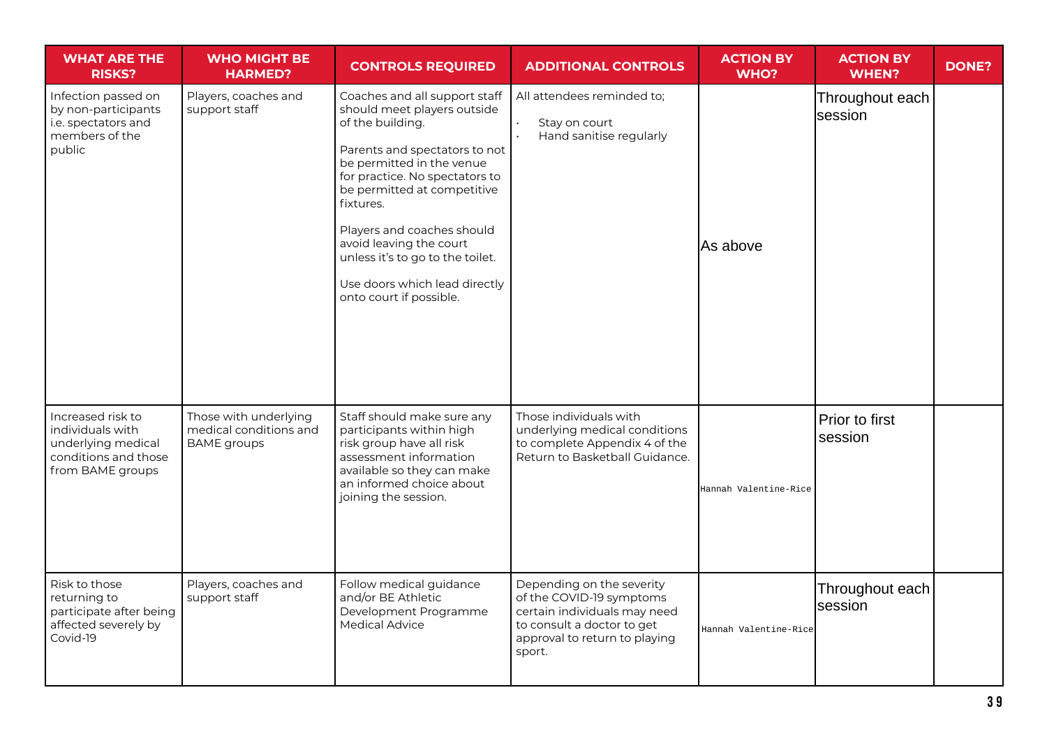| <b>WHAT ARE THE</b><br><b>RISKS?</b>                                                                    | <b>WHO MIGHT BE</b><br><b>HARMED?</b>                                 | <b>CONTROLS REQUIRED</b>                                                                                                                                                                                                                                                                                                                                                              | <b>ADDITIONAL CONTROLS</b>                                                                                                                                     | <b>ACTION BY</b><br>WHO? | <b>ACTION BY</b><br><b>WHEN?</b> | <b>DONE?</b> |
|---------------------------------------------------------------------------------------------------------|-----------------------------------------------------------------------|---------------------------------------------------------------------------------------------------------------------------------------------------------------------------------------------------------------------------------------------------------------------------------------------------------------------------------------------------------------------------------------|----------------------------------------------------------------------------------------------------------------------------------------------------------------|--------------------------|----------------------------------|--------------|
| Infection passed on<br>by non-participants<br>i.e. spectators and<br>members of the<br>public           | Players, coaches and<br>support staff                                 | Coaches and all support staff<br>should meet players outside<br>of the building.<br>Parents and spectators to not<br>be permitted in the venue<br>for practice. No spectators to<br>be permitted at competitive<br>fixtures.<br>Players and coaches should<br>avoid leaving the court<br>unless it's to go to the toilet.<br>Use doors which lead directly<br>onto court if possible. | All attendees reminded to;<br>Stay on court<br>Hand sanitise regularly                                                                                         | As above                 | Throughout each<br>lsession      |              |
| Increased risk to<br>individuals with<br>underlying medical<br>conditions and those<br>from BAME groups | Those with underlying<br>medical conditions and<br><b>BAME</b> groups | Staff should make sure any<br>participants within high<br>risk group have all risk<br>assessment information<br>available so they can make<br>an informed choice about<br>joining the session.                                                                                                                                                                                        | Those individuals with<br>underlying medical conditions<br>to complete Appendix 4 of the<br>Return to Basketball Guidance.                                     | Hannah Valentine-Rice    | Prior to first<br>session        |              |
| Risk to those<br>returning to<br>participate after being<br>affected severely by<br>Covid-19            | Players, coaches and<br>support staff                                 | Follow medical guidance<br>and/or BE Athletic<br>Development Programme<br><b>Medical Advice</b>                                                                                                                                                                                                                                                                                       | Depending on the severity<br>of the COVID-19 symptoms<br>certain individuals may need<br>to consult a doctor to get<br>approval to return to playing<br>sport. | Hannah Valentine-Rice    | Throughout each<br>session       |              |